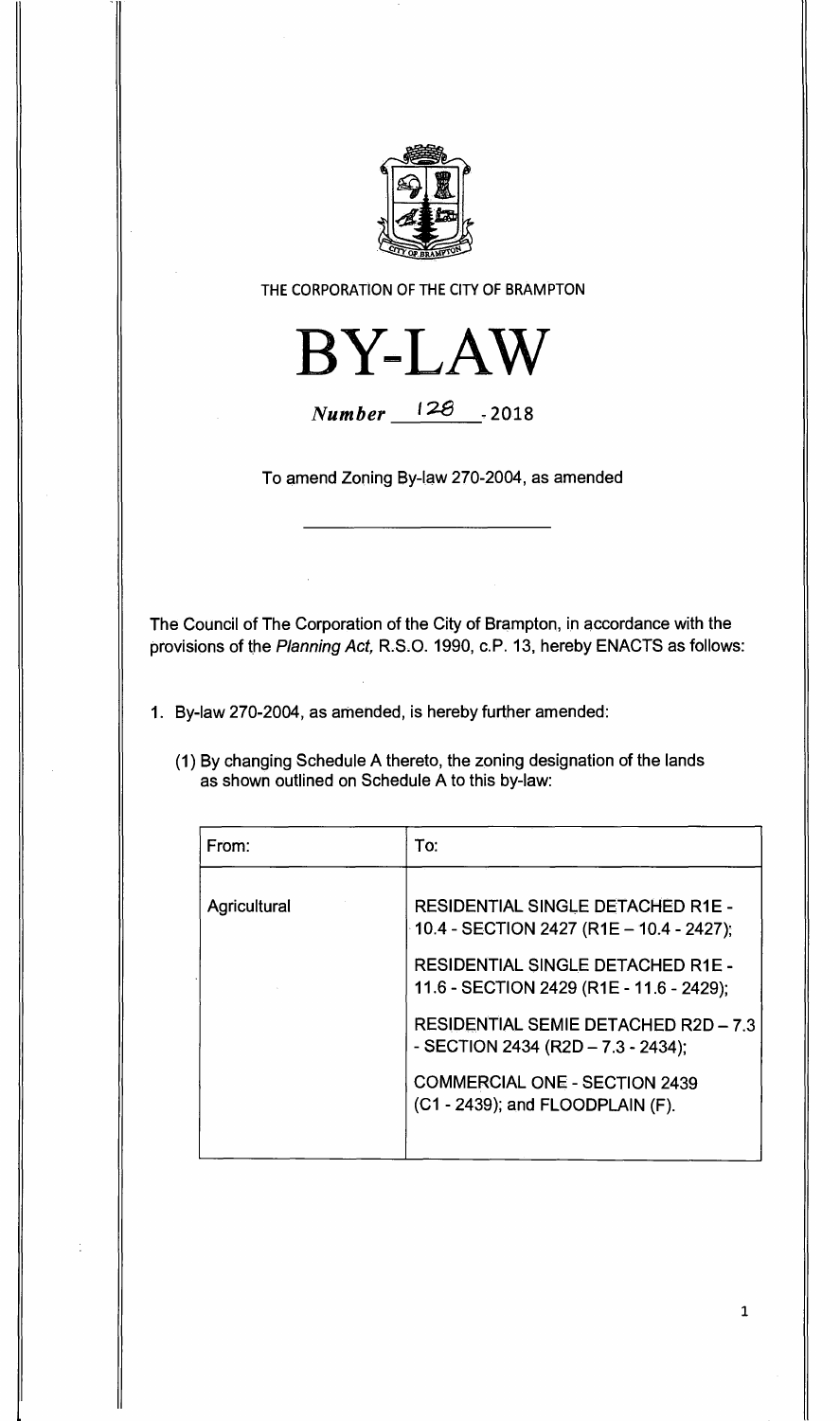

**THE CORPORATION OF THE CITY OF BRAMPTON** 



**Number** 128 -2018

**To amend Zoning By-law 270-2004, as amended** 

**The Council of The Corporation of the City of Brampton, in accordance with the provisions of the** Planning Act, **R.S.O. 1990, c.P. 13, hereby ENACTS as follows:** 

**1. By-law 270-2004, as amended, is hereby further amended:** 

**(1) By changing Schedule A thereto, the zoning designation of the lands as shown outlined on Schedule A to this by-law:** 

| From:        | To:                                                                                  |
|--------------|--------------------------------------------------------------------------------------|
| Agricultural | <b>RESIDENTIAL SINGLE DETACHED R1E -</b><br>10.4 - SECTION 2427 (R1E - 10.4 - 2427); |
|              | <b>RESIDENTIAL SINGLE DETACHED R1E -</b><br>11.6 - SECTION 2429 (R1E - 11.6 - 2429); |
|              | <b>RESIDENTIAL SEMIE DETACHED R2D - 7.3</b><br>- SECTION 2434 (R2D – 7.3 - 2434);    |
|              | <b>COMMERCIAL ONE - SECTION 2439</b><br>(C1 - 2439); and FLOODPLAIN (F).             |
|              |                                                                                      |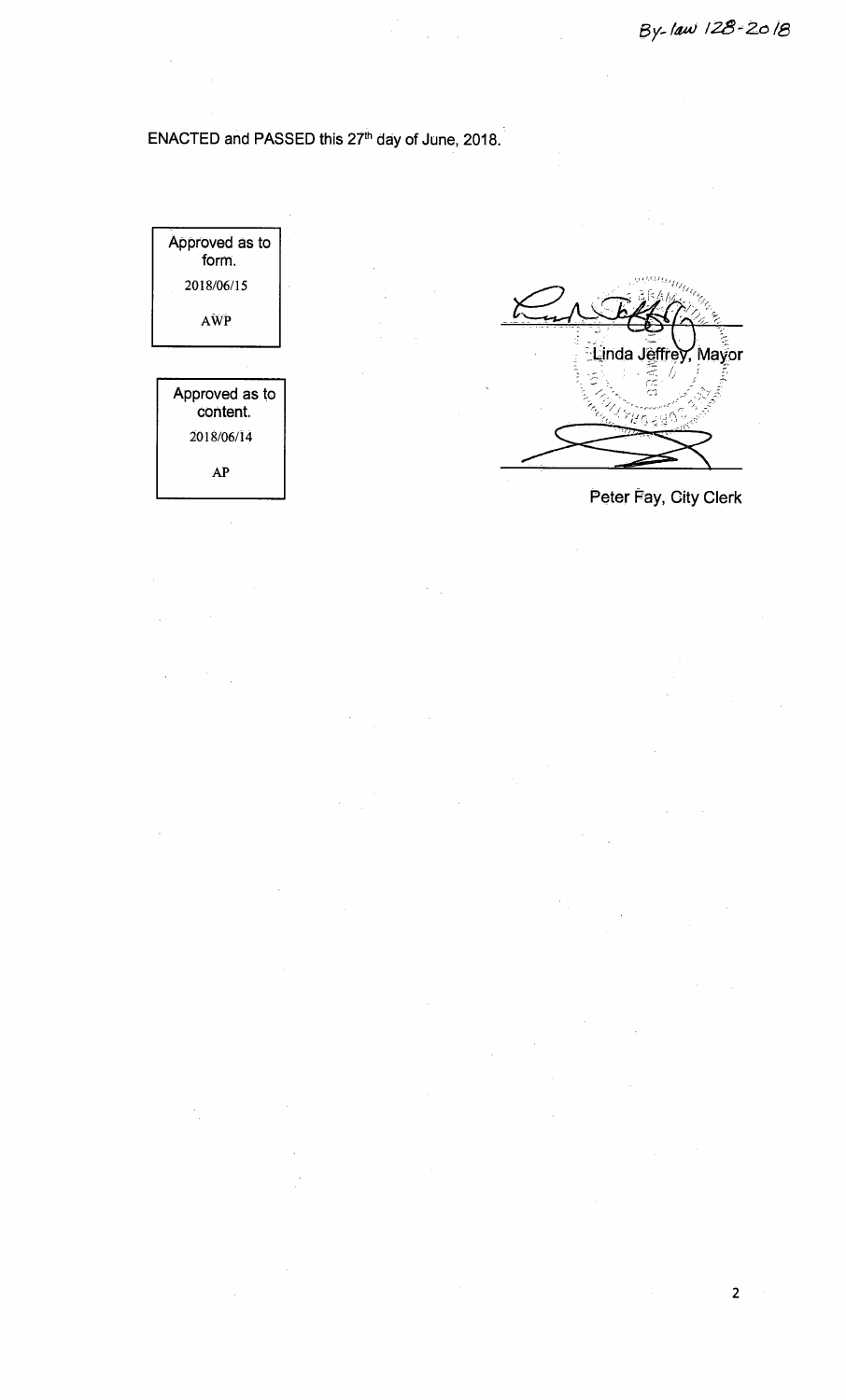## ENACTED and PASSED this 27<sup>th</sup> day of June, 2018.

l,



2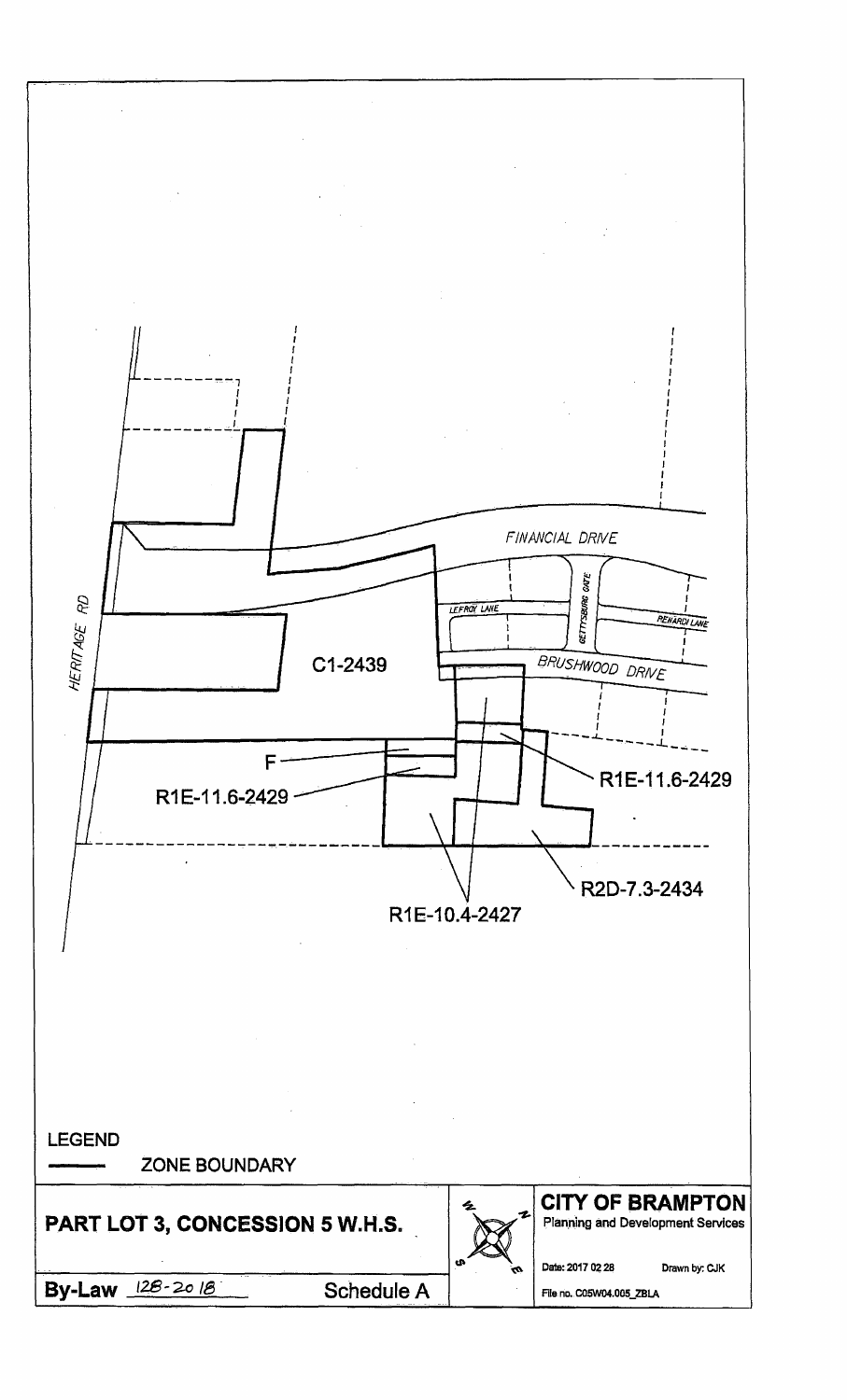